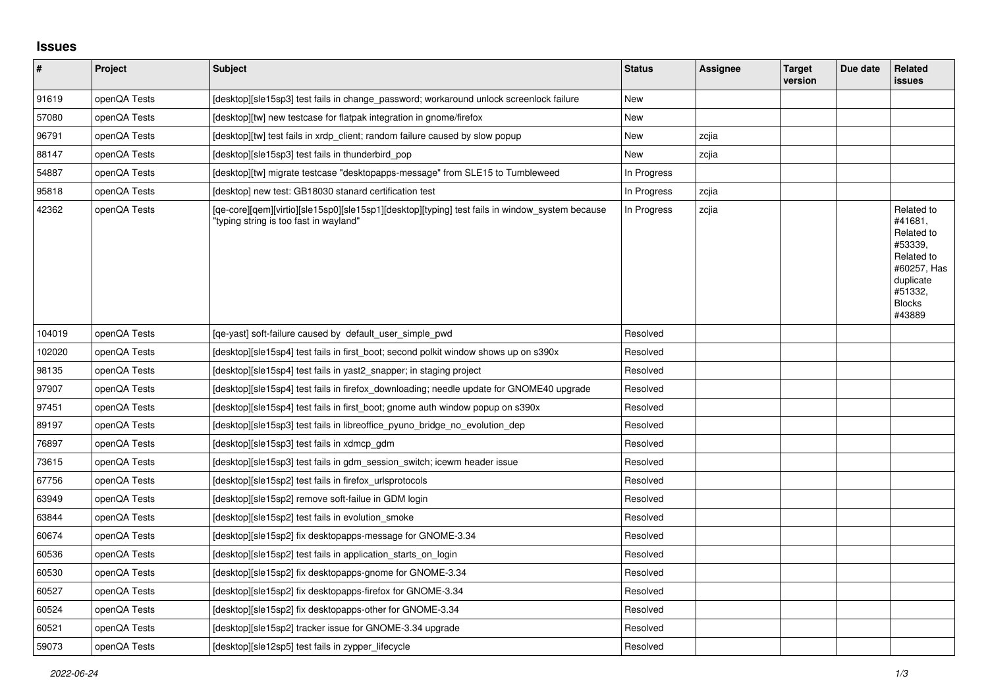## **Issues**

| $\vert$ # | Project      | <b>Subject</b>                                                                                                                            | <b>Status</b> | Assignee | <b>Target</b><br>version | Due date | Related<br><b>issues</b>                                                                                                       |
|-----------|--------------|-------------------------------------------------------------------------------------------------------------------------------------------|---------------|----------|--------------------------|----------|--------------------------------------------------------------------------------------------------------------------------------|
| 91619     | openQA Tests | [desktop][sle15sp3] test fails in change_password; workaround unlock screenlock failure                                                   | <b>New</b>    |          |                          |          |                                                                                                                                |
| 57080     | openQA Tests | [desktop][tw] new testcase for flatpak integration in gnome/firefox                                                                       | New           |          |                          |          |                                                                                                                                |
| 96791     | openQA Tests | [desktop][tw] test fails in xrdp_client; random failure caused by slow popup                                                              | New           | zcjia    |                          |          |                                                                                                                                |
| 88147     | openQA Tests | [desktop][sle15sp3] test fails in thunderbird pop                                                                                         | New           | zcjia    |                          |          |                                                                                                                                |
| 54887     | openQA Tests | [desktop][tw] migrate testcase "desktopapps-message" from SLE15 to Tumbleweed                                                             | In Progress   |          |                          |          |                                                                                                                                |
| 95818     | openQA Tests | [desktop] new test: GB18030 stanard certification test                                                                                    | In Progress   | zcjia    |                          |          |                                                                                                                                |
| 42362     | openQA Tests | [qe-core][qem][virtio][sle15sp0][sle15sp1][desktop][typing] test fails in window_system because<br>"typing string is too fast in wayland" | In Progress   | zcjia    |                          |          | Related to<br>#41681,<br>Related to<br>#53339,<br>Related to<br>#60257, Has<br>duplicate<br>#51332.<br><b>Blocks</b><br>#43889 |
| 104019    | openQA Tests | [ge-yast] soft-failure caused by default user simple pwd                                                                                  | Resolved      |          |                          |          |                                                                                                                                |
| 102020    | openQA Tests | [desktop][sle15sp4] test fails in first boot; second polkit window shows up on s390x                                                      | Resolved      |          |                          |          |                                                                                                                                |
| 98135     | openQA Tests | [desktop][sle15sp4] test fails in yast2_snapper; in staging project                                                                       | Resolved      |          |                          |          |                                                                                                                                |
| 97907     | openQA Tests | [desktop][sle15sp4] test fails in firefox downloading; needle update for GNOME40 upgrade                                                  | Resolved      |          |                          |          |                                                                                                                                |
| 97451     | openQA Tests | [desktop][sle15sp4] test fails in first_boot; gnome auth window popup on s390x                                                            | Resolved      |          |                          |          |                                                                                                                                |
| 89197     | openQA Tests | [desktop][sle15sp3] test fails in libreoffice pyuno bridge no evolution dep                                                               | Resolved      |          |                          |          |                                                                                                                                |
| 76897     | openQA Tests | [desktop][sle15sp3] test fails in xdmcp gdm                                                                                               | Resolved      |          |                          |          |                                                                                                                                |
| 73615     | openQA Tests | [desktop][sle15sp3] test fails in gdm session switch; icewm header issue                                                                  | Resolved      |          |                          |          |                                                                                                                                |
| 67756     | openQA Tests | [desktop][sle15sp2] test fails in firefox urlsprotocols                                                                                   | Resolved      |          |                          |          |                                                                                                                                |
| 63949     | openQA Tests | [desktop][sle15sp2] remove soft-failue in GDM login                                                                                       | Resolved      |          |                          |          |                                                                                                                                |
| 63844     | openQA Tests | [desktop][sle15sp2] test fails in evolution smoke                                                                                         | Resolved      |          |                          |          |                                                                                                                                |
| 60674     | openQA Tests | [desktop][sle15sp2] fix desktopapps-message for GNOME-3.34                                                                                | Resolved      |          |                          |          |                                                                                                                                |
| 60536     | openQA Tests | [desktop][sle15sp2] test fails in application starts on login                                                                             | Resolved      |          |                          |          |                                                                                                                                |
| 60530     | openQA Tests | [desktop][sle15sp2] fix desktopapps-gnome for GNOME-3.34                                                                                  | Resolved      |          |                          |          |                                                                                                                                |
| 60527     | openQA Tests | [desktop][sle15sp2] fix desktopapps-firefox for GNOME-3.34                                                                                | Resolved      |          |                          |          |                                                                                                                                |
| 60524     | openQA Tests | [desktop][sle15sp2] fix desktopapps-other for GNOME-3.34                                                                                  | Resolved      |          |                          |          |                                                                                                                                |
| 60521     | openQA Tests | [desktop][sle15sp2] tracker issue for GNOME-3.34 upgrade                                                                                  | Resolved      |          |                          |          |                                                                                                                                |
| 59073     | openQA Tests | [desktop][sle12sp5] test fails in zypper lifecycle                                                                                        | Resolved      |          |                          |          |                                                                                                                                |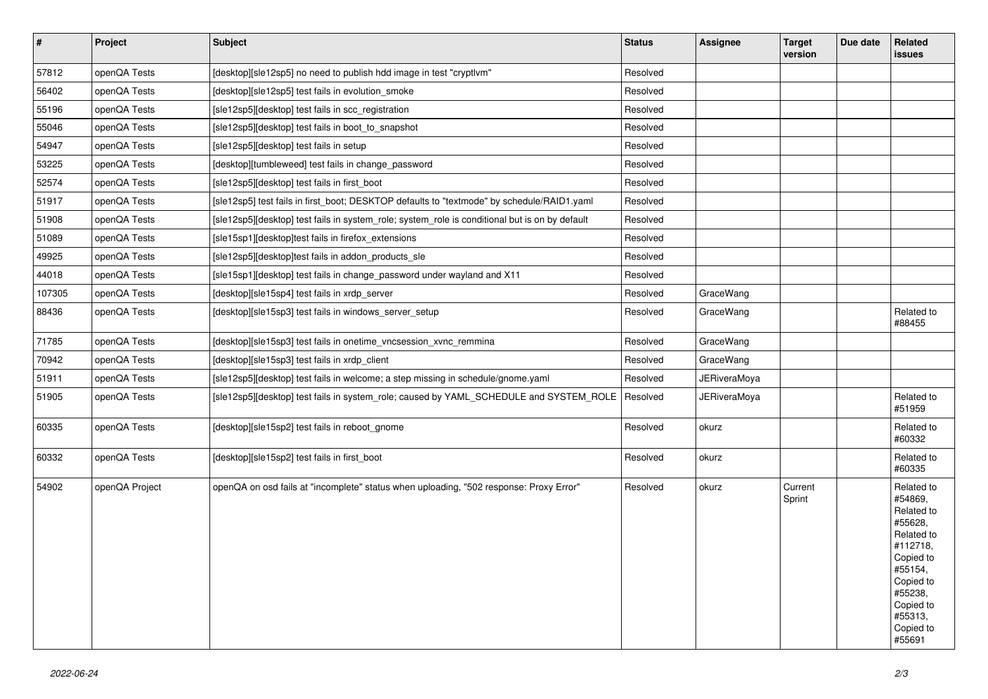| $\pmb{\#}$ | Project        | <b>Subject</b>                                                                                 | <b>Status</b> | Assignee     | <b>Target</b><br>version | Due date | Related<br>issues                                                                                                                                                       |
|------------|----------------|------------------------------------------------------------------------------------------------|---------------|--------------|--------------------------|----------|-------------------------------------------------------------------------------------------------------------------------------------------------------------------------|
| 57812      | openQA Tests   | [desktop][sle12sp5] no need to publish hdd image in test "cryptlvm"                            | Resolved      |              |                          |          |                                                                                                                                                                         |
| 56402      | openQA Tests   | [desktop][sle12sp5] test fails in evolution_smoke                                              | Resolved      |              |                          |          |                                                                                                                                                                         |
| 55196      | openQA Tests   | [sle12sp5][desktop] test fails in scc_registration                                             | Resolved      |              |                          |          |                                                                                                                                                                         |
| 55046      | openQA Tests   | [sle12sp5][desktop] test fails in boot to snapshot                                             | Resolved      |              |                          |          |                                                                                                                                                                         |
| 54947      | openQA Tests   | [sle12sp5][desktop] test fails in setup                                                        | Resolved      |              |                          |          |                                                                                                                                                                         |
| 53225      | openQA Tests   | [desktop][tumbleweed] test fails in change_password                                            | Resolved      |              |                          |          |                                                                                                                                                                         |
| 52574      | openQA Tests   | [sle12sp5][desktop] test fails in first_boot                                                   | Resolved      |              |                          |          |                                                                                                                                                                         |
| 51917      | openQA Tests   | [sle12sp5] test fails in first_boot; DESKTOP defaults to "textmode" by schedule/RAID1.yaml     | Resolved      |              |                          |          |                                                                                                                                                                         |
| 51908      | openQA Tests   | [sle12sp5][desktop] test fails in system_role; system_role is conditional but is on by default | Resolved      |              |                          |          |                                                                                                                                                                         |
| 51089      | openQA Tests   | [sle15sp1][desktop]test fails in firefox_extensions                                            | Resolved      |              |                          |          |                                                                                                                                                                         |
| 49925      | openQA Tests   | [sle12sp5][desktop]test fails in addon_products_sle                                            | Resolved      |              |                          |          |                                                                                                                                                                         |
| 44018      | openQA Tests   | [sle15sp1][desktop] test fails in change password under wayland and X11                        | Resolved      |              |                          |          |                                                                                                                                                                         |
| 107305     | openQA Tests   | [desktop][sle15sp4] test fails in xrdp server                                                  | Resolved      | GraceWang    |                          |          |                                                                                                                                                                         |
| 88436      | openQA Tests   | [desktop][sle15sp3] test fails in windows_server_setup                                         | Resolved      | GraceWang    |                          |          | Related to<br>#88455                                                                                                                                                    |
| 71785      | openQA Tests   | [desktop][sle15sp3] test fails in onetime_vncsession_xvnc_remmina                              | Resolved      | GraceWang    |                          |          |                                                                                                                                                                         |
| 70942      | openQA Tests   | [desktop][sle15sp3] test fails in xrdp_client                                                  | Resolved      | GraceWang    |                          |          |                                                                                                                                                                         |
| 51911      | openQA Tests   | [sle12sp5][desktop] test fails in welcome; a step missing in schedule/gnome.yaml               | Resolved      | JERiveraMoya |                          |          |                                                                                                                                                                         |
| 51905      | openQA Tests   | [sle12sp5][desktop] test fails in system_role; caused by YAML_SCHEDULE and SYSTEM_ROLE         | Resolved      | JERiveraMoya |                          |          | Related to<br>#51959                                                                                                                                                    |
| 60335      | openQA Tests   | [desktop][sle15sp2] test fails in reboot gnome                                                 | Resolved      | okurz        |                          |          | Related to<br>#60332                                                                                                                                                    |
| 60332      | openQA Tests   | [desktop][sle15sp2] test fails in first_boot                                                   | Resolved      | okurz        |                          |          | Related to<br>#60335                                                                                                                                                    |
| 54902      | openQA Project | openQA on osd fails at "incomplete" status when uploading, "502 response: Proxy Error"         | Resolved      | okurz        | Current<br>Sprint        |          | Related to<br>#54869,<br>Related to<br>#55628,<br>Related to<br>#112718,<br>Copied to<br>#55154,<br>Copied to<br>#55238,<br>Copied to<br>#55313,<br>Copied to<br>#55691 |